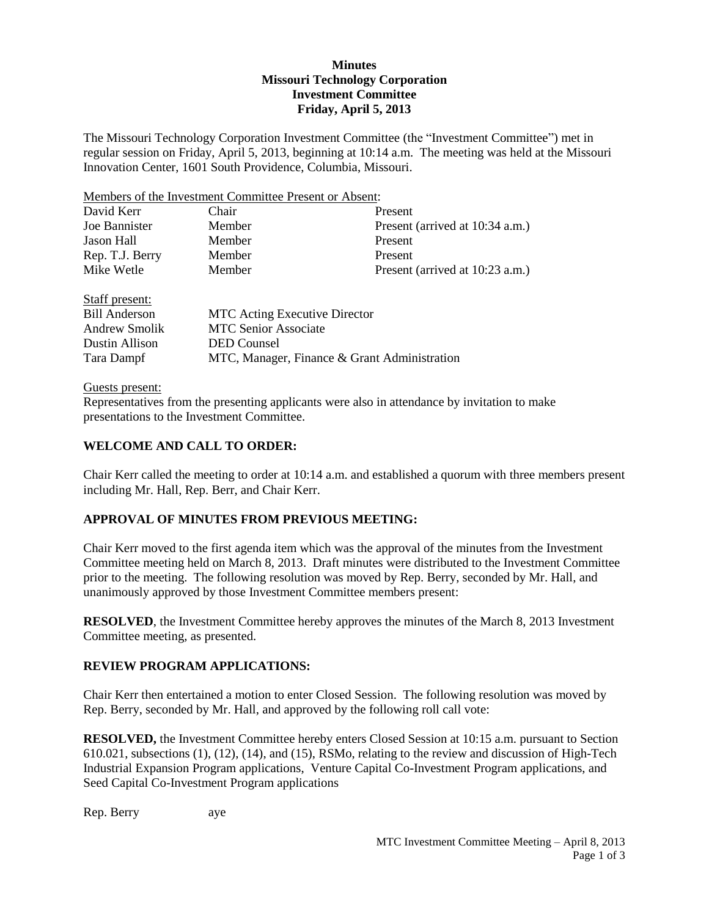## **Minutes Missouri Technology Corporation Investment Committee Friday, April 5, 2013**

The Missouri Technology Corporation Investment Committee (the "Investment Committee") met in regular session on Friday, April 5, 2013, beginning at 10:14 a.m. The meeting was held at the Missouri Innovation Center, 1601 South Providence, Columbia, Missouri.

Members of the Investment Committee Present or Absent:

| David Kerr           | Chair                                        | Present                         |  |
|----------------------|----------------------------------------------|---------------------------------|--|
| Joe Bannister        | Member                                       | Present (arrived at 10:34 a.m.) |  |
| Jason Hall           | Member                                       | Present                         |  |
| Rep. T.J. Berry      | Member                                       | Present                         |  |
| Mike Wetle           | Member                                       | Present (arrived at 10:23 a.m.) |  |
| Staff present:       |                                              |                                 |  |
| <b>Bill Anderson</b> | <b>MTC</b> Acting Executive Director         |                                 |  |
| Andrew Smolik        | <b>MTC Senior Associate</b>                  |                                 |  |
| Dustin Allison       | <b>DED</b> Counsel                           |                                 |  |
| Tara Dampf           | MTC, Manager, Finance & Grant Administration |                                 |  |

#### Guests present:

Representatives from the presenting applicants were also in attendance by invitation to make presentations to the Investment Committee.

## **WELCOME AND CALL TO ORDER:**

Chair Kerr called the meeting to order at 10:14 a.m. and established a quorum with three members present including Mr. Hall, Rep. Berr, and Chair Kerr.

## **APPROVAL OF MINUTES FROM PREVIOUS MEETING:**

Chair Kerr moved to the first agenda item which was the approval of the minutes from the Investment Committee meeting held on March 8, 2013. Draft minutes were distributed to the Investment Committee prior to the meeting. The following resolution was moved by Rep. Berry, seconded by Mr. Hall, and unanimously approved by those Investment Committee members present:

**RESOLVED**, the Investment Committee hereby approves the minutes of the March 8, 2013 Investment Committee meeting, as presented.

## **REVIEW PROGRAM APPLICATIONS:**

Chair Kerr then entertained a motion to enter Closed Session. The following resolution was moved by Rep. Berry, seconded by Mr. Hall, and approved by the following roll call vote:

**RESOLVED,** the Investment Committee hereby enters Closed Session at 10:15 a.m. pursuant to Section 610.021, subsections (1), (12), (14), and (15), RSMo, relating to the review and discussion of High-Tech Industrial Expansion Program applications, Venture Capital Co-Investment Program applications, and Seed Capital Co-Investment Program applications

Rep. Berry aye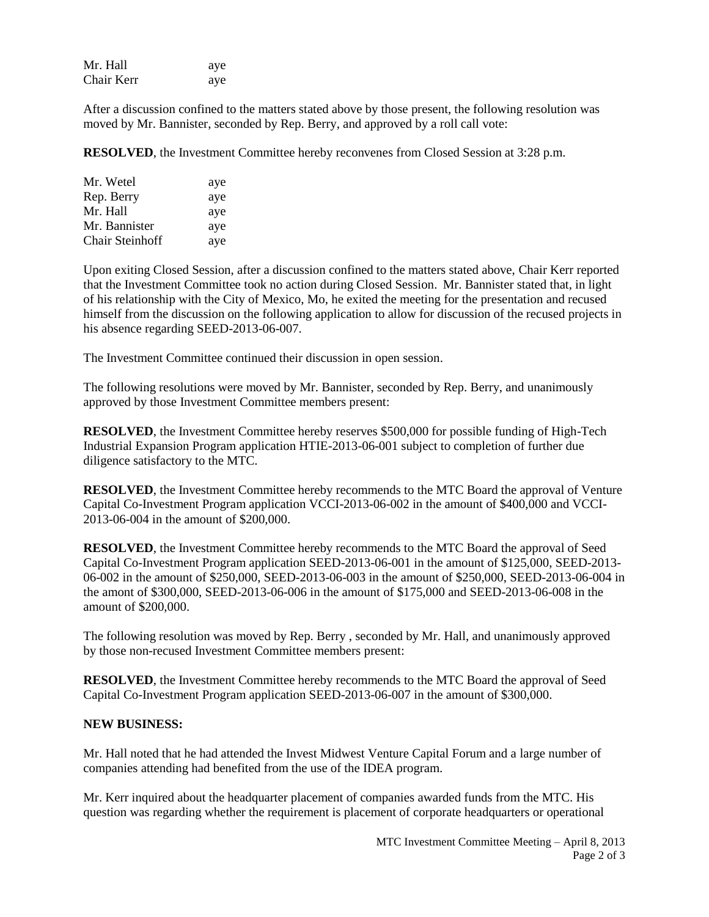| Mr. Hall   | aye |
|------------|-----|
| Chair Kerr | aye |

After a discussion confined to the matters stated above by those present, the following resolution was moved by Mr. Bannister, seconded by Rep. Berry, and approved by a roll call vote:

**RESOLVED**, the Investment Committee hereby reconvenes from Closed Session at 3:28 p.m.

| Mr. Wetel              | aye |
|------------------------|-----|
| Rep. Berry             | aye |
| Mr. Hall               | aye |
| Mr. Bannister          | aye |
| <b>Chair Steinhoff</b> | aye |

Upon exiting Closed Session, after a discussion confined to the matters stated above, Chair Kerr reported that the Investment Committee took no action during Closed Session. Mr. Bannister stated that, in light of his relationship with the City of Mexico, Mo, he exited the meeting for the presentation and recused himself from the discussion on the following application to allow for discussion of the recused projects in his absence regarding SEED-2013-06-007.

The Investment Committee continued their discussion in open session.

The following resolutions were moved by Mr. Bannister, seconded by Rep. Berry, and unanimously approved by those Investment Committee members present:

**RESOLVED**, the Investment Committee hereby reserves \$500,000 for possible funding of High-Tech Industrial Expansion Program application HTIE-2013-06-001 subject to completion of further due diligence satisfactory to the MTC.

**RESOLVED**, the Investment Committee hereby recommends to the MTC Board the approval of Venture Capital Co-Investment Program application VCCI-2013-06-002 in the amount of \$400,000 and VCCI-2013-06-004 in the amount of \$200,000.

**RESOLVED**, the Investment Committee hereby recommends to the MTC Board the approval of Seed Capital Co-Investment Program application SEED-2013-06-001 in the amount of \$125,000, SEED-2013- 06-002 in the amount of \$250,000, SEED-2013-06-003 in the amount of \$250,000, SEED-2013-06-004 in the amont of \$300,000, SEED-2013-06-006 in the amount of \$175,000 and SEED-2013-06-008 in the amount of \$200,000.

The following resolution was moved by Rep. Berry , seconded by Mr. Hall, and unanimously approved by those non-recused Investment Committee members present:

**RESOLVED**, the Investment Committee hereby recommends to the MTC Board the approval of Seed Capital Co-Investment Program application SEED-2013-06-007 in the amount of \$300,000.

## **NEW BUSINESS:**

Mr. Hall noted that he had attended the Invest Midwest Venture Capital Forum and a large number of companies attending had benefited from the use of the IDEA program.

Mr. Kerr inquired about the headquarter placement of companies awarded funds from the MTC. His question was regarding whether the requirement is placement of corporate headquarters or operational